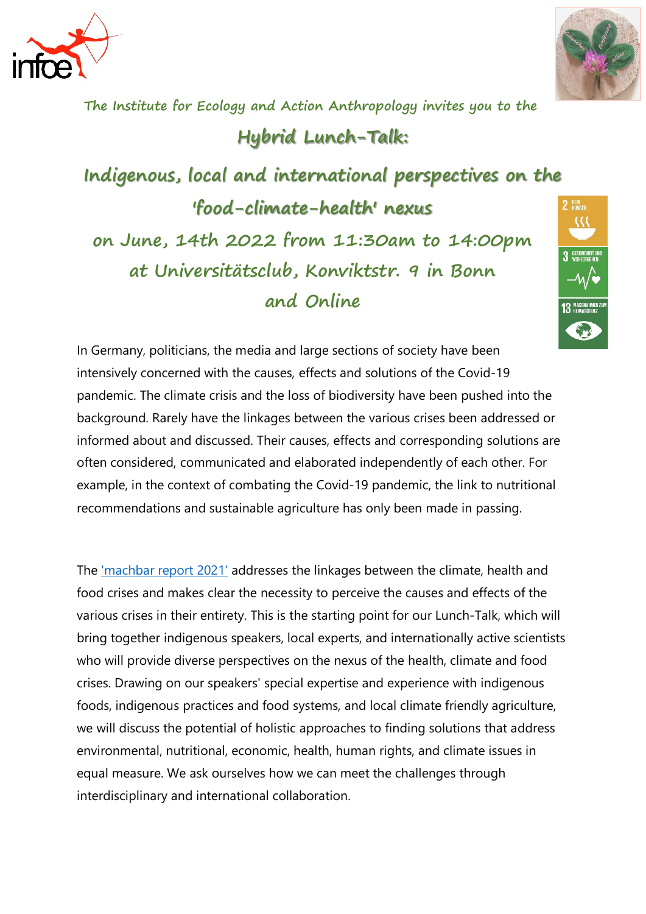



**The Institute for Ecology and Action Anthropology invites you to the** 

## **Hybrid Lunch-Talk:**

**Indigenous, local and international perspectives on the 'food-climate-health' nexus on June, 14th 2022 from 11:30am to 14:00pm at Universitätsclub, Konviktstr. 9 in Bonn and Online**



In Germany, politicians, the media and large sections of society have been intensively concerned with the causes, effects and solutions of the Covid-19 pandemic. The climate crisis and the loss of biodiversity have been pushed into the background. Rarely have the linkages between the various crises been addressed or informed about and discussed. Their causes, effects and corresponding solutions are often considered, communicated and elaborated independently of each other. For example, in the context of combating the Covid-19 pandemic, the link to nutritional recommendations and sustainable agriculture has only been made in passing.

The ['machbar report 2021'](https://netzwerk2030.de/wordpress/wp-content/uploads/2021/12/Das-gro%C3%9Fe-Ganze_machbar-Bericht-2021.pdf) addresses the linkages between the climate, health and food crises and makes clear the necessity to perceive the causes and effects of the various crises in their entirety. This is the starting point for our Lunch-Talk, which will bring together indigenous speakers, local experts, and internationally active scientists who will provide diverse perspectives on the nexus of the health, climate and food crises. Drawing on our speakers' special expertise and experience with indigenous foods, indigenous practices and food systems, and local climate friendly agriculture, we will discuss the potential of holistic approaches to finding solutions that address environmental, nutritional, economic, health, human rights, and climate issues in equal measure. We ask ourselves how we can meet the challenges through interdisciplinary and international collaboration.